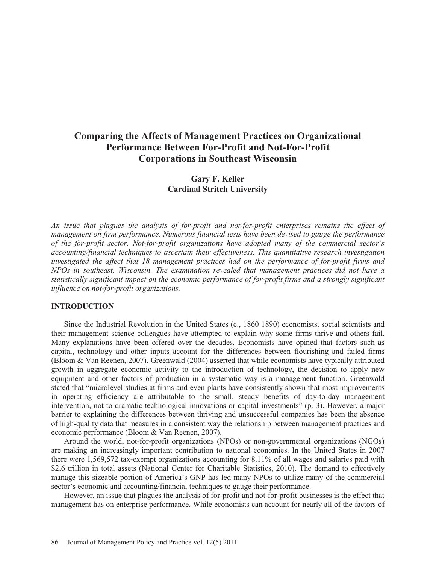# **Comparing the Affects of Management Practices on Organizational Performance Between For-Profit and Not-For-Profit Corporations in Southeast Wisconsin**

# **Gary F. Keller Cardinal Stritch University**

*An issue that plagues the analysis of for-profit and not-for-profit enterprises remains the effect of management on firm performance. Numerous financial tests have been devised to gauge the performance of the for-profit sector. Not-for-profit organizations have adopted many of the commercial sector's accounting/financial techniques to ascertain their effectiveness. This quantitative research investigation investigated the affect that 18 management practices had on the performance of for-profit firms and NPOs in southeast, Wisconsin. The examination revealed that management practices did not have a statistically significant impact on the economic performance of for-profit firms and a strongly significant influence on not-for-profit organizations.* 

#### **INTRODUCTION**

Since the Industrial Revolution in the United States (c., 1860 1890) economists, social scientists and their management science colleagues have attempted to explain why some firms thrive and others fail. Many explanations have been offered over the decades. Economists have opined that factors such as capital, technology and other inputs account for the differences between flourishing and failed firms (Bloom & Van Reenen, 2007). Greenwald (2004) asserted that while economists have typically attributed growth in aggregate economic activity to the introduction of technology, the decision to apply new equipment and other factors of production in a systematic way is a management function. Greenwald stated that "microlevel studies at firms and even plants have consistently shown that most improvements in operating efficiency are attributable to the small, steady benefits of day-to-day management intervention, not to dramatic technological innovations or capital investments" (p. 3). However, a major barrier to explaining the differences between thriving and unsuccessful companies has been the absence of high-quality data that measures in a consistent way the relationship between management practices and economic performance (Bloom & Van Reenen, 2007).

Around the world, not-for-profit organizations (NPOs) or non-governmental organizations (NGOs) are making an increasingly important contribution to national economies. In the United States in 2007 there were 1,569,572 tax-exempt organizations accounting for 8.11% of all wages and salaries paid with \$2.6 trillion in total assets (National Center for Charitable Statistics, 2010). The demand to effectively manage this sizeable portion of America's GNP has led many NPOs to utilize many of the commercial sector's economic and accounting/financial techniques to gauge their performance.

However, an issue that plagues the analysis of for-profit and not-for-profit businesses is the effect that management has on enterprise performance. While economists can account for nearly all of the factors of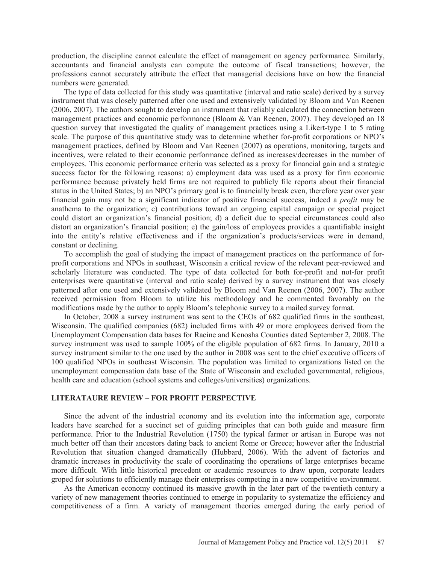production, the discipline cannot calculate the effect of management on agency performance. Similarly, accountants and financial analysts can compute the outcome of fiscal transactions; however, the professions cannot accurately attribute the effect that managerial decisions have on how the financial numbers were generated.

The type of data collected for this study was quantitative (interval and ratio scale) derived by a survey instrument that was closely patterned after one used and extensively validated by Bloom and Van Reenen (2006, 2007). The authors sought to develop an instrument that reliably calculated the connection between management practices and economic performance (Bloom  $&$  Van Reenen, 2007). They developed an 18 question survey that investigated the quality of management practices using a Likert-type 1 to 5 rating scale. The purpose of this quantitative study was to determine whether for-profit corporations or NPO's management practices, defined by Bloom and Van Reenen (2007) as operations, monitoring, targets and incentives, were related to their economic performance defined as increases/decreases in the number of employees. This economic performance criteria was selected as a proxy for financial gain and a strategic success factor for the following reasons: a) employment data was used as a proxy for firm economic performance because privately held firms are not required to publicly file reports about their financial status in the United States; b) an NPO's primary goal is to financially break even, therefore year over year financial gain may not be a significant indicator of positive financial success, indeed a *profit* may be anathema to the organization; c) contributions toward an ongoing capital campaign or special project could distort an organization's financial position; d) a deficit due to special circumstances could also distort an organization's financial position; e) the gain/loss of employees provides a quantifiable insight into the entity's relative effectiveness and if the organization's products/services were in demand, constant or declining.

To accomplish the goal of studying the impact of management practices on the performance of forprofit corporations and NPOs in southeast, Wisconsin a critical review of the relevant peer-reviewed and scholarly literature was conducted. The type of data collected for both for-profit and not-for profit enterprises were quantitative (interval and ratio scale) derived by a survey instrument that was closely patterned after one used and extensively validated by Bloom and Van Reenen (2006, 2007). The author received permission from Bloom to utilize his methodology and he commented favorably on the modifications made by the author to apply Bloom's telephonic survey to a mailed survey format.

In October, 2008 a survey instrument was sent to the CEOs of 682 qualified firms in the southeast, Wisconsin. The qualified companies (682) included firms with 49 or more employees derived from the Unemployment Compensation data bases for Racine and Kenosha Counties dated September 2, 2008. The survey instrument was used to sample 100% of the eligible population of 682 firms. In January, 2010 a survey instrument similar to the one used by the author in 2008 was sent to the chief executive officers of 100 qualified NPOs in southeast Wisconsin. The population was limited to organizations listed on the unemployment compensation data base of the State of Wisconsin and excluded governmental, religious, health care and education (school systems and colleges/universities) organizations.

#### **LITERATAURE REVIEW – FOR PROFIT PERSPECTIVE**

Since the advent of the industrial economy and its evolution into the information age, corporate leaders have searched for a succinct set of guiding principles that can both guide and measure firm performance. Prior to the Industrial Revolution (1750) the typical farmer or artisan in Europe was not much better off than their ancestors dating back to ancient Rome or Greece; however after the Industrial Revolution that situation changed dramatically (Hubbard, 2006). With the advent of factories and dramatic increases in productivity the scale of coordinating the operations of large enterprises became more difficult. With little historical precedent or academic resources to draw upon, corporate leaders groped for solutions to efficiently manage their enterprises competing in a new competitive environment.

As the American economy continued its massive growth in the later part of the twentieth century a variety of new management theories continued to emerge in popularity to systematize the efficiency and competitiveness of a firm. A variety of management theories emerged during the early period of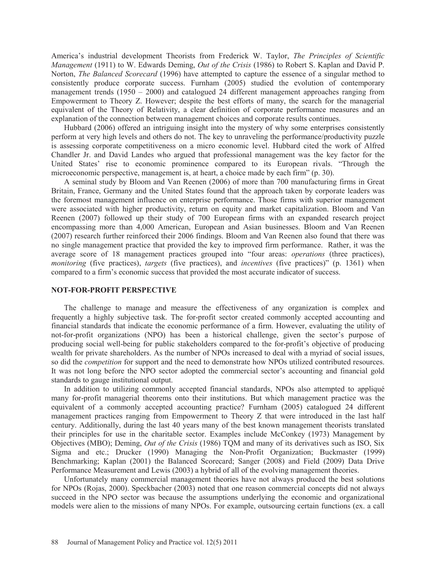America's industrial development Theorists from Frederick W. Taylor, *The Principles of Scientific Management* (1911) to W. Edwards Deming, *Out of the Crisis* (1986) to Robert S. Kaplan and David P. Norton, *The Balanced Scorecard* (1996) have attempted to capture the essence of a singular method to consistently produce corporate success. Furnham (2005) studied the evolution of contemporary management trends (1950 – 2000) and catalogued 24 different management approaches ranging from Empowerment to Theory Z. However; despite the best efforts of many, the search for the managerial equivalent of the Theory of Relativity, a clear definition of corporate performance measures and an explanation of the connection between management choices and corporate results continues.

Hubbard (2006) offered an intriguing insight into the mystery of why some enterprises consistently perform at very high levels and others do not. The key to unraveling the performance/productivity puzzle is assessing corporate competitiveness on a micro economic level. Hubbard cited the work of Alfred Chandler Jr. and David Landes who argued that professional management was the key factor for the United States' rise to economic prominence compared to its European rivals. "Through the microeconomic perspective, management is, at heart, a choice made by each firm" (p. 30).

A seminal study by Bloom and Van Reenen (2006) of more than 700 manufacturing firms in Great Britain, France, Germany and the United States found that the approach taken by corporate leaders was the foremost management influence on enterprise performance. Those firms with superior management were associated with higher productivity, return on equity and market capitalization. Bloom and Van Reenen (2007) followed up their study of 700 European firms with an expanded research project encompassing more than 4,000 American, European and Asian businesses. Bloom and Van Reenen (2007) research further reinforced their 2006 findings. Bloom and Van Reenen also found that there was no single management practice that provided the key to improved firm performance. Rather, it was the average score of 18 management practices grouped into "four areas: *operations* (three practices), *monitoring* (five practices), *targets* (five practices), and *incentives* (five practices)" (p. 1361) when compared to a firm's economic success that provided the most accurate indicator of success.

#### **NOT-FOR-PROFIT PERSPECTIVE**

The challenge to manage and measure the effectiveness of any organization is complex and frequently a highly subjective task. The for-profit sector created commonly accepted accounting and financial standards that indicate the economic performance of a firm. However, evaluating the utility of not-for-profit organizations (NPO) has been a historical challenge, given the sector's purpose of producing social well-being for public stakeholders compared to the for-profit's objective of producing wealth for private shareholders. As the number of NPOs increased to deal with a myriad of social issues, so did the *competition* for support and the need to demonstrate how NPOs utilized contributed resources. It was not long before the NPO sector adopted the commercial sector's accounting and financial gold standards to gauge institutional output.

In addition to utilizing commonly accepted financial standards, NPOs also attempted to appliqué many for-profit managerial theorems onto their institutions. But which management practice was the equivalent of a commonly accepted accounting practice? Furnham (2005) catalogued 24 different management practices ranging from Empowerment to Theory Z that were introduced in the last half century. Additionally, during the last 40 years many of the best known management theorists translated their principles for use in the charitable sector. Examples include McConkey (1973) Management by Objectives (MBO); Deming, *Out of the Crisis* (1986) TQM and many of its derivatives such as ISO, Six Sigma and etc.; Drucker (1990) Managing the Non-Profit Organization; Buckmaster (1999) Benchmarking; Kaplan (2001) the Balanced Scorecard; Sanger (2008) and Field (2009) Data Drive Performance Measurement and Lewis (2003) a hybrid of all of the evolving management theories.

Unfortunately many commercial management theories have not always produced the best solutions for NPOs (Rojas, 2000). Speckbacher (2003) noted that one reason commercial concepts did not always succeed in the NPO sector was because the assumptions underlying the economic and organizational models were alien to the missions of many NPOs. For example, outsourcing certain functions (ex. a call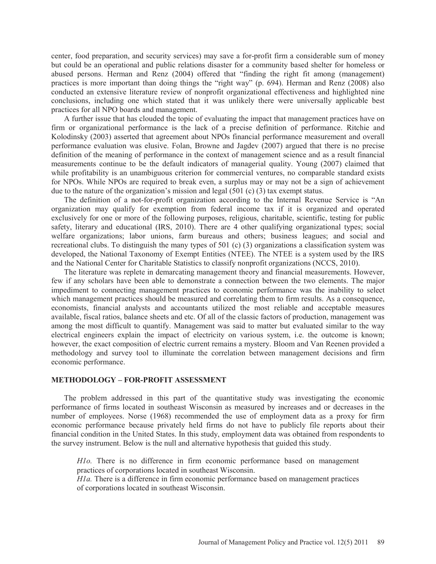center, food preparation, and security services) may save a for-profit firm a considerable sum of money but could be an operational and public relations disaster for a community based shelter for homeless or abused persons. Herman and Renz (2004) offered that "finding the right fit among (management) practices is more important than doing things the "right way" (p. 694). Herman and Renz (2008) also conducted an extensive literature review of nonprofit organizational effectiveness and highlighted nine conclusions, including one which stated that it was unlikely there were universally applicable best practices for all NPO boards and management.

A further issue that has clouded the topic of evaluating the impact that management practices have on firm or organizational performance is the lack of a precise definition of performance. Ritchie and Kolodinsky (2003) asserted that agreement about NPOs financial performance measurement and overall performance evaluation was elusive. Folan, Browne and Jagdev (2007) argued that there is no precise definition of the meaning of performance in the context of management science and as a result financial measurements continue to be the default indicators of managerial quality. Young (2007) claimed that while profitability is an unambiguous criterion for commercial ventures, no comparable standard exists for NPOs. While NPOs are required to break even, a surplus may or may not be a sign of achievement due to the nature of the organization's mission and legal (501 (c) (3) tax exempt status.

The definition of a not-for-profit organization according to the Internal Revenue Service is "An organization may qualify for exemption from federal income tax if it is organized and operated exclusively for one or more of the following purposes, religious, charitable, scientific, testing for public safety, literary and educational (IRS, 2010). There are 4 other qualifying organizational types; social welfare organizations; labor unions, farm bureaus and others; business leagues; and social and recreational clubs. To distinguish the many types of 501 (c) (3) organizations a classification system was developed, the National Taxonomy of Exempt Entities (NTEE). The NTEE is a system used by the IRS and the National Center for Charitable Statistics to classify nonprofit organizations (NCCS, 2010).

The literature was replete in demarcating management theory and financial measurements. However, few if any scholars have been able to demonstrate a connection between the two elements. The major impediment to connecting management practices to economic performance was the inability to select which management practices should be measured and correlating them to firm results. As a consequence, economists, financial analysts and accountants utilized the most reliable and acceptable measures available, fiscal ratios, balance sheets and etc. Of all of the classic factors of production, management was among the most difficult to quantify. Management was said to matter but evaluated similar to the way electrical engineers explain the impact of electricity on various system, i.e. the outcome is known; however, the exact composition of electric current remains a mystery. Bloom and Van Reenen provided a methodology and survey tool to illuminate the correlation between management decisions and firm economic performance.

#### **METHODOLOGY – FOR-PROFIT ASSESSMENT**

The problem addressed in this part of the quantitative study was investigating the economic performance of firms located in southeast Wisconsin as measured by increases and or decreases in the number of employees. Norse (1968) recommended the use of employment data as a proxy for firm economic performance because privately held firms do not have to publicly file reports about their financial condition in the United States. In this study, employment data was obtained from respondents to the survey instrument. Below is the null and alternative hypothesis that guided this study.

*H1o.* There is no difference in firm economic performance based on management practices of corporations located in southeast Wisconsin.

*H1a.* There is a difference in firm economic performance based on management practices of corporations located in southeast Wisconsin.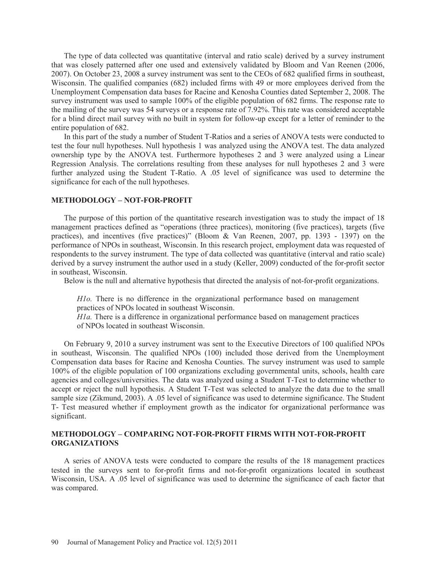The type of data collected was quantitative (interval and ratio scale) derived by a survey instrument that was closely patterned after one used and extensively validated by Bloom and Van Reenen (2006, 2007). On October 23, 2008 a survey instrument was sent to the CEOs of 682 qualified firms in southeast, Wisconsin. The qualified companies (682) included firms with 49 or more employees derived from the Unemployment Compensation data bases for Racine and Kenosha Counties dated September 2, 2008. The survey instrument was used to sample 100% of the eligible population of 682 firms. The response rate to the mailing of the survey was 54 surveys or a response rate of 7.92%. This rate was considered acceptable for a blind direct mail survey with no built in system for follow-up except for a letter of reminder to the entire population of 682.

In this part of the study a number of Student T-Ratios and a series of ANOVA tests were conducted to test the four null hypotheses. Null hypothesis 1 was analyzed using the ANOVA test. The data analyzed ownership type by the ANOVA test. Furthermore hypotheses 2 and 3 were analyzed using a Linear Regression Analysis. The correlations resulting from these analyses for null hypotheses 2 and 3 were further analyzed using the Student T-Ratio. A .05 level of significance was used to determine the significance for each of the null hypotheses.

### **METHODOLOGY – NOT-FOR-PROFIT**

The purpose of this portion of the quantitative research investigation was to study the impact of 18 management practices defined as "operations (three practices), monitoring (five practices), targets (five practices), and incentives (five practices)" (Bloom & Van Reenen, 2007, pp. 1393 - 1397) on the performance of NPOs in southeast, Wisconsin. In this research project, employment data was requested of respondents to the survey instrument. The type of data collected was quantitative (interval and ratio scale) derived by a survey instrument the author used in a study (Keller, 2009) conducted of the for-profit sector in southeast, Wisconsin.

Below is the null and alternative hypothesis that directed the analysis of not-for-profit organizations.

*H1o.* There is no difference in the organizational performance based on management practices of NPOs located in southeast Wisconsin.

*H1a.* There is a difference in organizational performance based on management practices of NPOs located in southeast Wisconsin.

On February 9, 2010 a survey instrument was sent to the Executive Directors of 100 qualified NPOs in southeast, Wisconsin. The qualified NPOs (100) included those derived from the Unemployment Compensation data bases for Racine and Kenosha Counties. The survey instrument was used to sample 100% of the eligible population of 100 organizations excluding governmental units, schools, health care agencies and colleges/universities. The data was analyzed using a Student T-Test to determine whether to accept or reject the null hypothesis. A Student T-Test was selected to analyze the data due to the small sample size (Zikmund, 2003). A .05 level of significance was used to determine significance. The Student T- Test measured whether if employment growth as the indicator for organizational performance was significant.

### **METHODOLOGY – COMPARING NOT-FOR-PROFIT FIRMS WITH NOT-FOR-PROFIT ORGANIZATIONS**

A series of ANOVA tests were conducted to compare the results of the 18 management practices tested in the surveys sent to for-profit firms and not-for-profit organizations located in southeast Wisconsin, USA. A .05 level of significance was used to determine the significance of each factor that was compared.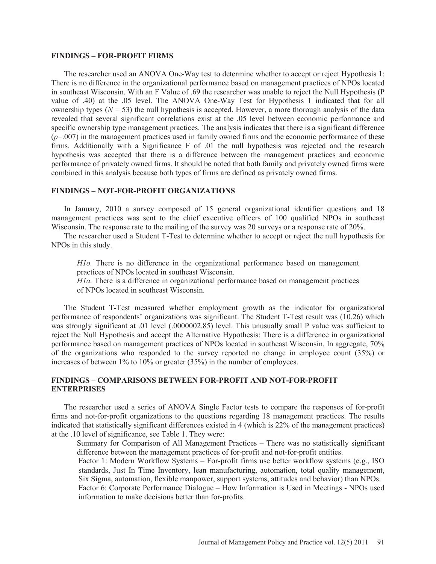#### **FINDINGS – FOR-PROFIT FIRMS**

The researcher used an ANOVA One-Way test to determine whether to accept or reject Hypothesis 1: There is no difference in the organizational performance based on management practices of NPOs located in southeast Wisconsin. With an F Value of .69 the researcher was unable to reject the Null Hypothesis (P value of .40) at the .05 level. The ANOVA One-Way Test for Hypothesis 1 indicated that for all ownership types  $(N = 53)$  the null hypothesis is accepted. However, a more thorough analysis of the data revealed that several significant correlations exist at the .05 level between economic performance and specific ownership type management practices. The analysis indicates that there is a significant difference  $(p=0.007)$  in the management practices used in family owned firms and the economic performance of these firms. Additionally with a Significance F of .01 the null hypothesis was rejected and the research hypothesis was accepted that there is a difference between the management practices and economic performance of privately owned firms. It should be noted that both family and privately owned firms were combined in this analysis because both types of firms are defined as privately owned firms.

#### **FINDINGS – NOT-FOR-PROFIT ORGANIZATIONS**

In January, 2010 a survey composed of 15 general organizational identifier questions and 18 management practices was sent to the chief executive officers of 100 qualified NPOs in southeast Wisconsin. The response rate to the mailing of the survey was 20 surveys or a response rate of 20%.

The researcher used a Student T-Test to determine whether to accept or reject the null hypothesis for NPOs in this study.

*H1o.* There is no difference in the organizational performance based on management practices of NPOs located in southeast Wisconsin.

*H1a*. There is a difference in organizational performance based on management practices of NPOs located in southeast Wisconsin.

The Student T-Test measured whether employment growth as the indicator for organizational performance of respondents' organizations was significant. The Student T-Test result was (10.26) which was strongly significant at .01 level (.0000002.85) level. This unusually small P value was sufficient to reject the Null Hypothesis and accept the Alternative Hypothesis: There is a difference in organizational performance based on management practices of NPOs located in southeast Wisconsin. In aggregate, 70% of the organizations who responded to the survey reported no change in employee count (35%) or increases of between 1% to 10% or greater (35%) in the number of employees.

#### **FINDINGS – COMPARISONS BETWEEN FOR-PROFIT AND NOT-FOR-PROFIT ENTERPRISES**

The researcher used a series of ANOVA Single Factor tests to compare the responses of for-profit firms and not-for-profit organizations to the questions regarding 18 management practices. The results indicated that statistically significant differences existed in 4 (which is 22% of the management practices) at the .10 level of significance, see Table 1. They were:

Summary for Comparison of All Management Practices – There was no statistically significant difference between the management practices of for-profit and not-for-profit entities.

Factor 1: Modern Workflow Systems – For-profit firms use better workflow systems (e.g., ISO standards, Just In Time Inventory, lean manufacturing, automation, total quality management, Six Sigma, automation, flexible manpower, support systems, attitudes and behavior) than NPOs.

Factor 6: Corporate Performance Dialogue – How Information is Used in Meetings - NPOs used information to make decisions better than for-profits.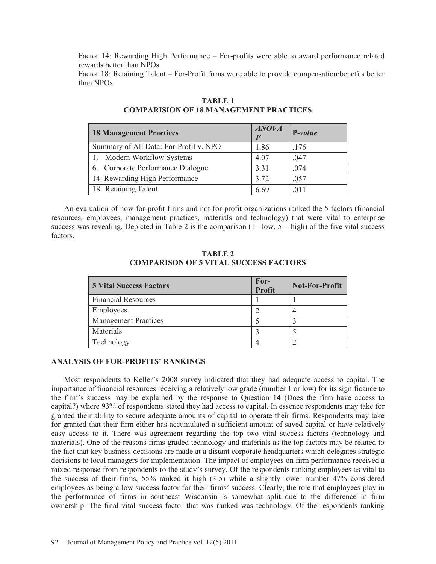Factor 14: Rewarding High Performance – For-profits were able to award performance related rewards better than NPOs.

Factor 18: Retaining Talent – For-Profit firms were able to provide compensation/benefits better than NPOs.

| <b>18 Management Practices</b>         | <b>ANOVA</b> | P-value |
|----------------------------------------|--------------|---------|
| Summary of All Data: For-Profit v. NPO | 1.86         | .176    |
| 1. Modern Workflow Systems             | 4.07         | .047    |
| 6. Corporate Performance Dialogue      | 3.31         | .074    |
| 14. Rewarding High Performance         | 3.72         | .057    |
| 18. Retaining Talent                   | 6.69         | .011    |

# **TABLE 1 COMPARISION OF 18 MANAGEMENT PRACTICES**

An evaluation of how for-profit firms and not-for-profit organizations ranked the 5 factors (financial resources, employees, management practices, materials and technology) that were vital to enterprise success was revealing. Depicted in Table 2 is the comparison  $(1 = low, 5 = high)$  of the five vital success factors.

| <b>TABLE 2</b>                               |  |  |  |
|----------------------------------------------|--|--|--|
| <b>COMPARISON OF 5 VITAL SUCCESS FACTORS</b> |  |  |  |

| <b>5 Vital Success Factors</b> | For-<br><b>Profit</b> | <b>Not-For-Profit</b> |
|--------------------------------|-----------------------|-----------------------|
| <b>Financial Resources</b>     |                       |                       |
| Employees                      |                       |                       |
| <b>Management Practices</b>    |                       |                       |
| Materials                      |                       |                       |
| Technology                     |                       |                       |

## **ANALYSIS OF FOR-PROFITS' RANKINGS**

Most respondents to Keller's 2008 survey indicated that they had adequate access to capital. The importance of financial resources receiving a relatively low grade (number 1 or low) for its significance to the firm's success may be explained by the response to Question 14 (Does the firm have access to capital?) where 93% of respondents stated they had access to capital. In essence respondents may take for granted their ability to secure adequate amounts of capital to operate their firms. Respondents may take for granted that their firm either has accumulated a sufficient amount of saved capital or have relatively easy access to it. There was agreement regarding the top two vital success factors (technology and materials). One of the reasons firms graded technology and materials as the top factors may be related to the fact that key business decisions are made at a distant corporate headquarters which delegates strategic decisions to local managers for implementation. The impact of employees on firm performance received a mixed response from respondents to the study's survey. Of the respondents ranking employees as vital to the success of their firms, 55% ranked it high (3-5) while a slightly lower number 47% considered employees as being a low success factor for their firms' success. Clearly, the role that employees play in the performance of firms in southeast Wisconsin is somewhat split due to the difference in firm ownership. The final vital success factor that was ranked was technology. Of the respondents ranking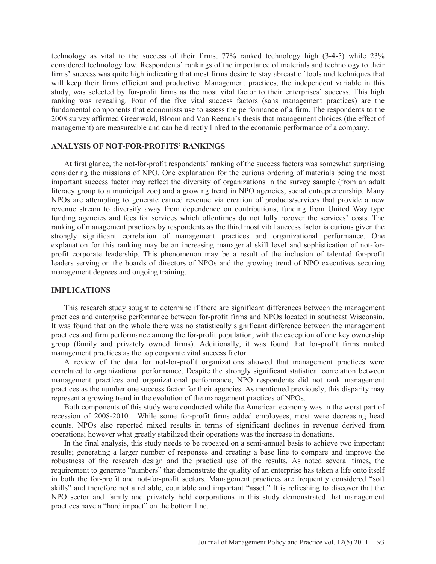technology as vital to the success of their firms, 77% ranked technology high (3-4-5) while 23% considered technology low. Respondents' rankings of the importance of materials and technology to their firms' success was quite high indicating that most firms desire to stay abreast of tools and techniques that will keep their firms efficient and productive. Management practices, the independent variable in this study, was selected by for-profit firms as the most vital factor to their enterprises' success. This high ranking was revealing. Four of the five vital success factors (sans management practices) are the fundamental components that economists use to assess the performance of a firm. The respondents to the 2008 survey affirmed Greenwald, Bloom and Van Reenan's thesis that management choices (the effect of management) are measureable and can be directly linked to the economic performance of a company.

#### **ANALYSIS OF NOT-FOR-PROFITS' RANKINGS**

At first glance, the not-for-profit respondents' ranking of the success factors was somewhat surprising considering the missions of NPO. One explanation for the curious ordering of materials being the most important success factor may reflect the diversity of organizations in the survey sample (from an adult literacy group to a municipal zoo) and a growing trend in NPO agencies, social entrepreneurship. Many NPOs are attempting to generate earned revenue via creation of products/services that provide a new revenue stream to diversify away from dependence on contributions, funding from United Way type funding agencies and fees for services which oftentimes do not fully recover the services' costs. The ranking of management practices by respondents as the third most vital success factor is curious given the strongly significant correlation of management practices and organizational performance. One explanation for this ranking may be an increasing managerial skill level and sophistication of not-forprofit corporate leadership. This phenomenon may be a result of the inclusion of talented for-profit leaders serving on the boards of directors of NPOs and the growing trend of NPO executives securing management degrees and ongoing training.

#### **IMPLICATIONS**

This research study sought to determine if there are significant differences between the management practices and enterprise performance between for-profit firms and NPOs located in southeast Wisconsin. It was found that on the whole there was no statistically significant difference between the management practices and firm performance among the for-profit population, with the exception of one key ownership group (family and privately owned firms). Additionally, it was found that for-profit firms ranked management practices as the top corporate vital success factor.

A review of the data for not-for-profit organizations showed that management practices were correlated to organizational performance. Despite the strongly significant statistical correlation between management practices and organizational performance, NPO respondents did not rank management practices as the number one success factor for their agencies. As mentioned previously, this disparity may represent a growing trend in the evolution of the management practices of NPOs.

Both components of this study were conducted while the American economy was in the worst part of recession of 2008-2010. While some for-profit firms added employees, most were decreasing head counts. NPOs also reported mixed results in terms of significant declines in revenue derived from operations; however what greatly stabilized their operations was the increase in donations.

In the final analysis, this study needs to be repeated on a semi-annual basis to achieve two important results; generating a larger number of responses and creating a base line to compare and improve the robustness of the research design and the practical use of the results. As noted several times, the requirement to generate "numbers" that demonstrate the quality of an enterprise has taken a life onto itself in both the for-profit and not-for-profit sectors. Management practices are frequently considered "soft skills" and therefore not a reliable, countable and important "asset." It is refreshing to discover that the NPO sector and family and privately held corporations in this study demonstrated that management practices have a "hard impact" on the bottom line.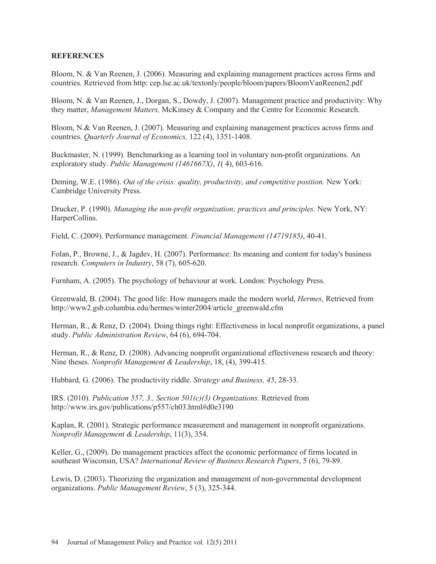### **REFERENCES**

Bloom, N. & Van Reenen, J. (2006). Measuring and explaining management practices across firms and countries. Retrieved from http: cep.lse.ac.uk/textonly/people/bloom/papers/BloomVanReenen2.pdf

Bloom, N. & Van Reenen, J., Dorgan, S., Dowdy, J. (2007). Management practice and productivity: Why they matter, *Management Matters,* McKinsey & Company and the Centre for Economic Research.

Bloom, N.& Van Reenen, J. (2007). Measuring and explaining management practices across firms and countries. *Quarterly Journal of Economics,* 122 (4), 1351-1408.

Buckmaster, N. (1999). Benchmarking as a learning tool in voluntary non-profit organizations. An exploratory study. *Public Management (1461667X)*, *1*( 4), 603-616.

Deming, W.E. (1986). *Out of the crisis: quality, productivity, and competitive position.* New York: Cambridge University Press.

Drucker, P. (1990). *Managing the non-profit organization; practices and principles.* New York, NY: HarperCollins.

Field, C. (2009). Performance management. *Financial Management (14719185)*, 40-41.

Folan, P., Browne, J., & Jagdev, H. (2007). Performance: Its meaning and content for today's business research. *Computers in Industry*, 58 (7), 605-620.

Furnham, A. (2005). The psychology of behaviour at work. London: Psychology Press.

Greenwald, B. (2004). The good life: How managers made the modern world, *Hermes*, Retrieved from http://www2.gsb.columbia.edu/hermes/winter2004/article\_greenwald.cfm

Herman, R., & Renz, D. (2004). Doing things right: Effectiveness in local nonprofit organizations, a panel study. *Public Administration Review*, 64 (6), 694-704.

Herman, R., & Renz, D. (2008). Advancing nonprofit organizational effectiveness research and theory: Nine theses. *Nonprofit Management & Leadership*, 18, (4), 399-415.

Hubbard, G. (2006). The productivity riddle. *Strategy and Business, 45*, 28-33.

IRS. (2010). *Publication 557, 3., Section 501(c)(3) Organizations*. Retrieved from http://www.irs.gov/publications/p557/ch03.html#d0e3190

Kaplan, R. (2001). Strategic performance measurement and management in nonprofit organizations. *Nonprofit Management & Leadership*, 11(3), 354.

Keller, G., (2009). Do management practices affect the economic performance of firms located in southeast Wisconsin, USA? *International Review of Business Research Papers*, 5 (6), 79-89.

Lewis, D. (2003). Theorizing the organization and management of non-governmental development organizations. *Public Management Review*, 5 (3), 325-344.